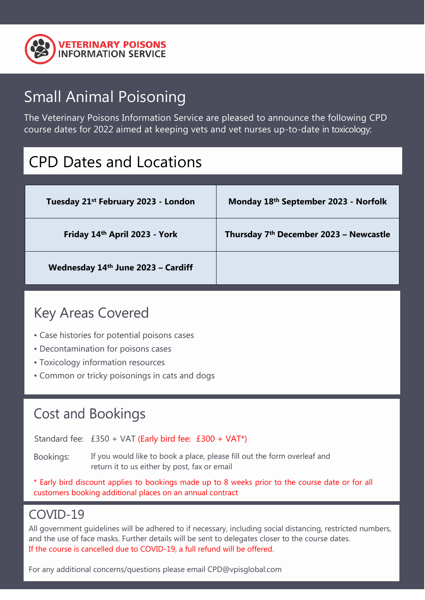

# Small Animal Poisoning

The Veterinary Poisons Information Service are pleased to announce the following CPD course dates for 2022 aimed at keeping vets and vet nurses up-to-date in toxicology:

## CPD Dates and Locations

| Tuesday 21 <sup>st</sup> February 2023 - London | Monday 18th September 2023 - Norfolk               |
|-------------------------------------------------|----------------------------------------------------|
| Friday 14th April 2023 - York                   | Thursday 7 <sup>th</sup> December 2023 - Newcastle |
| Wednesday 14th June 2023 - Cardiff              |                                                    |

### Key Areas Covered

- Case histories for potential poisons cases
- Decontamination for poisons cases
- Toxicology information resources
- Common or tricky poisonings in cats and dogs  $\tilde{C}$  , and  $\tilde{C}$  , and  $\tilde{C}$  , winchester  $\tilde{C}$  , winchester  $\tilde{C}$  , winchester  $\tilde{C}$

### **Thursday 22nd March 22nd March 22nd March 22nd March 22nd March 2310 March 2310 March 2310 March 2310 March 23**

Standard fee: £350 + VAT (Early bird fee: £300 + VAT\*)  $T$ 

Thursday 22nd February - Cardiff Thursday 19th July - Glasgow

Bookings: If you would like to book a place, please fill out the form overleaf and return it to us either by post, fax or email

\* Early bird discount applies to bookings made up to 8 weeks prior to the course date or for all customers booking additional places on an annual contract

#### COVID-19

All government guidelines will be adhered to if necessary, including social distancing, restricted numbers, and the use of face masks. Further details will be sent to delegates closer to the course dates. If the course is cancelled due to COVID-19, a full refund will be offered.

For any additional concerns/questions please email [CPD@vpisglobal.com](mailto:CPD@vpisglobal.com)